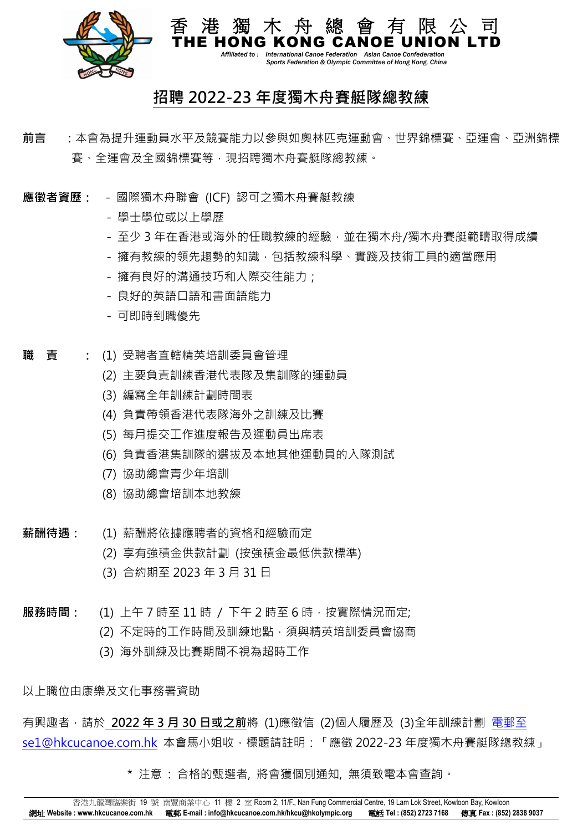

 *Affiliated to : International Canoe Federation Asian Canoe Confederation Sports Federation & Olympic Committee of Hong Kong, China*

## **招聘 2022-23 年度獨木舟賽艇隊總教練**

**猫 木 舟** 

- **前言 :**本會為提升運動員水平及競賽能力以參與如奧林匹克運動會、世界錦標賽、亞運會、亞洲錦標 賽、全運會及全國錦標賽等,現招聘獨木舟賽艇隊總教練。
- **應徵者資歷:**  國際獨木舟聯會 (ICF) 認可之獨木舟賽艇教練
	- 學士學位或以上學歷
	- 至少 3 年在香港或海外的任職教練的經驗,並在獨木舟/獨木舟賽艇範疇取得成績
	- 擁有教練的領先趨勢的知識,包括教練科學、實踐及技術工具的適當應用
	- 擁有良好的溝通技巧和人際交往能力;
	- 良好的英語口語和書面語能力
	- 可即時到職優先
- **職 責 :** (1) 受聘者直轄精英培訓委員會管理
	- (2) 主要負責訓練香港代表隊及集訓隊的運動員
	- (3) 編寫全年訓練計劃時間表
	- (4) 負責帶領香港代表隊海外之訓練及比賽
	- (5) 每月提交工作進度報告及運動員出席表
	- (6) 負責香港集訓隊的選拔及本地其他運動員的入隊測試
	- (7) 協助總會青少年培訓
	- (8) 協助總會培訓本地教練
- **薪酬待遇:** (1) 薪酬將依據應聘者的資格和經驗而定
	- (2) 享有強積金供款計劃 (按強積金最低供款標準)
	- (3) 合約期至 2023 年 3 月 31 日
- **服務時間:** (1) 上午 7 時至 11 時 / 下午 2 時至 6 時,按實際情況而定;
	- (2) 不定時的工作時間及訓練地點,須與精英培訓委員會協商
	- (3) 海外訓練及比賽期間不視為超時工作

以上職位由康樂及文化事務署資助

有興趣者,請於 **2022 年 3 月 30 日或之前**將 (1)應徵信 (2)個人履歷及 (3)全年訓練計劃 [電郵至](mailto:電郵至se1@hkcucanoe.com.hk) [se1@hkcucanoe.com.hk](mailto:電郵至se1@hkcucanoe.com.hk) 本會馬小姐收,標題請註明:「應徵 2022-23 年度獨木舟賽艇隊總教練」

\* 注意 : 合格的甄選者, 將會獲個別通知, 無須致電本會查詢。